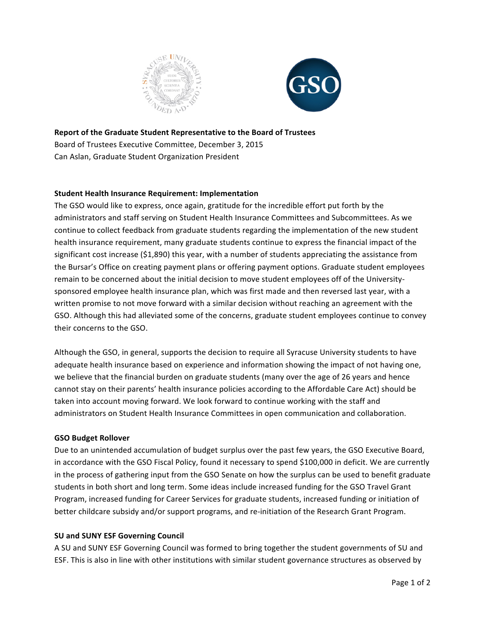



## **Report of the Graduate Student Representative to the Board of Trustees**

Board of Trustees Executive Committee, December 3, 2015 Can Aslan, Graduate Student Organization President

## **Student Health Insurance Requirement: Implementation**

The GSO would like to express, once again, gratitude for the incredible effort put forth by the administrators and staff serving on Student Health Insurance Committees and Subcommittees. As we continue to collect feedback from graduate students regarding the implementation of the new student health insurance requirement, many graduate students continue to express the financial impact of the significant cost increase  $(51,890)$  this year, with a number of students appreciating the assistance from the Bursar's Office on creating payment plans or offering payment options. Graduate student employees remain to be concerned about the initial decision to move student employees off of the Universitysponsored employee health insurance plan, which was first made and then reversed last year, with a written promise to not move forward with a similar decision without reaching an agreement with the GSO. Although this had alleviated some of the concerns, graduate student employees continue to convey their concerns to the GSO.

Although the GSO, in general, supports the decision to require all Syracuse University students to have adequate health insurance based on experience and information showing the impact of not having one, we believe that the financial burden on graduate students (many over the age of 26 years and hence cannot stay on their parents' health insurance policies according to the Affordable Care Act) should be taken into account moving forward. We look forward to continue working with the staff and administrators on Student Health Insurance Committees in open communication and collaboration.

## **GSO Budget Rollover**

Due to an unintended accumulation of budget surplus over the past few years, the GSO Executive Board, in accordance with the GSO Fiscal Policy, found it necessary to spend \$100,000 in deficit. We are currently in the process of gathering input from the GSO Senate on how the surplus can be used to benefit graduate students in both short and long term. Some ideas include increased funding for the GSO Travel Grant Program, increased funding for Career Services for graduate students, increased funding or initiation of better childcare subsidy and/or support programs, and re-initiation of the Research Grant Program.

## **SU and SUNY ESF Governing Council**

A SU and SUNY ESF Governing Council was formed to bring together the student governments of SU and ESF. This is also in line with other institutions with similar student governance structures as observed by